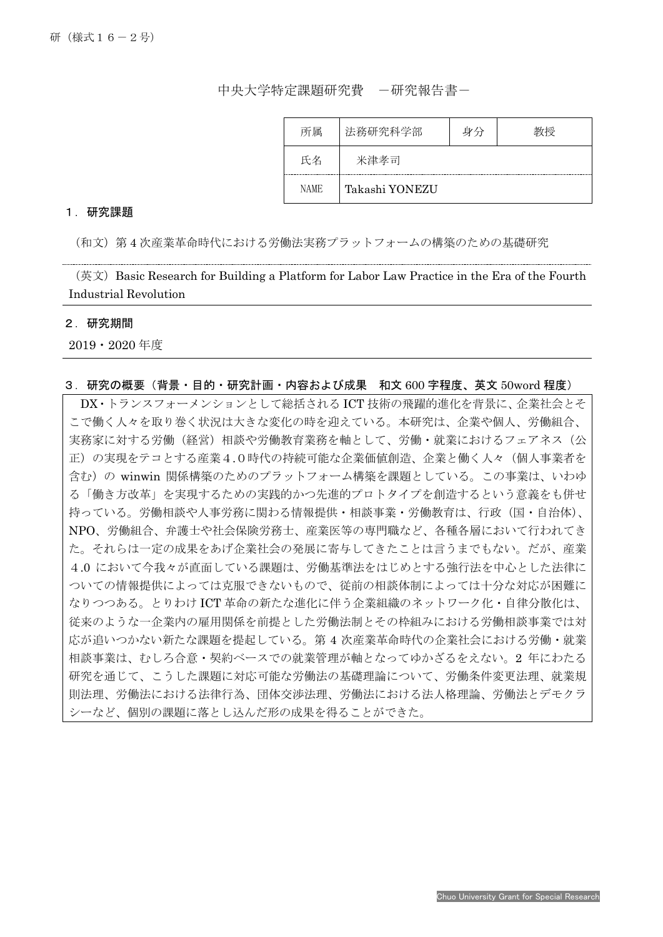中央大学特定課題研究費 -研究報告書-

| 所属          | 法務研究科学部        | 身分 |  |
|-------------|----------------|----|--|
| 氏名          | 米津孝司           |    |  |
| <b>NAME</b> | Takashi YONEZU |    |  |

## 1.研究課題

(和文)第 4 次産業革命時代における労働法実務プラットフォームの構築のための基礎研究

(英文)Basic Research for Building a Platform for Labor Law Practice in the Era of the Fourth Industrial Revolution

## 2.研究期間

I

2019・2020 年度

## 3.研究の概要(背景・目的・研究計画・内容および成果 和文 600 字程度、英文 50word 程度)

DX・トランスフォーメンションとして総括される ICT 技術の飛躍的進化を背景に、企業社会とそ こで働く人々を取り巻く状況は大きな変化の時を迎えている。本研究は、企業や個人、労働組合、 実務家に対する労働(経営)相談や労働教育業務を軸として、労働・就業におけるフェアネス(公 正)の実現をテコとする産業4.0時代の持続可能な企業価値創造、企業と働く人々(個人事業者を 含む)の winwin 関係構築のためのプラットフォーム構築を課題としている。この事業は、いわゆ る「働き方改革」を実現するための実践的かつ先進的プロトタイプを創造するという意義をも併せ 持っている。労働相談や人事労務に関わる情報提供・相談事業・労働教育は、行政(国・自治体)、 NPO、労働組合、弁護士や社会保険労務士、産業医等の専門職など、各種各層において行われてき た。それらは一定の成果をあげ企業社会の発展に寄与してきたことは言うまでもない。だが、産業 4.0 において今我々が直面している課題は、労働基準法をはじめとする強行法を中心とした法律に ついての情報提供によっては克服できないもので、従前の相談体制によっては十分な対応が困難に なりつつある。とりわけ ICT 革命の新たな進化に伴う企業組織のネットワーク化・自律分散化は、 従来のような一企業内の雇用関係を前提とした労働法制とその枠組みにおける労働相談事業では対 応が追いつかない新たな課題を提起している。第 4 次産業革命時代の企業社会における労働・就業 相談事業は、むしろ合意・契約ベースでの就業管理が軸となってゆかざるをえない。2 年にわたる 研究を通じて、こうした課題に対応可能な労働法の基礎理論について、労働条件変更法理、就業規 則法理、労働法における法律行為、団体交渉法理、労働法における法人格理論、労働法とデモクラ シーなど、個別の課題に落とし込んだ形の成果を得ることができた。